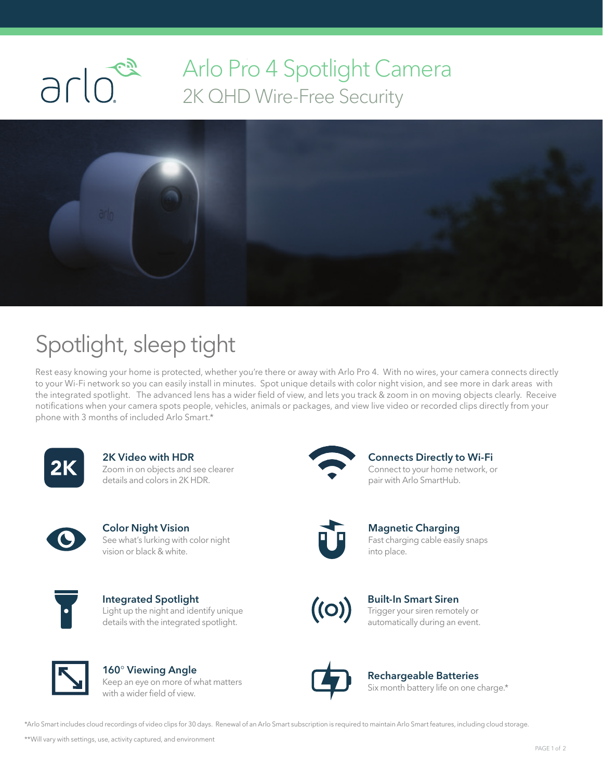

## Arlo Pro 4 Spotlight Camera<br>2K QHD Wire-Free Security 2K QHD Wire-Free Security



## Spotlight, sleep tight

Rest easy knowing your home is protected, whether you're there or away with Arlo Pro 4. With no wires, your camera connects directly to your Wi-Fi network so you can easily install in minutes. Spot unique details with color night vision, and see more in dark areas with the integrated spotlight. The advanced lens has a wider field of view, and lets you track & zoom in on moving objects clearly. Receive notifications when your camera spots people, vehicles, animals or packages, and view live video or recorded clips directly from your phone with 3 months of included Arlo Smart.\*



2K Video with HDR Zoom in on objects and see clearer details and colors in 2K HDR.



Color Night Vision See what's lurking with color night vision or black & white.



Integrated Spotlight Light up the night and identify unique details with the integrated spotlight.



160° Viewing Angle Keep an eye on more of what matters with a wider field of view.



Connects Directly to Wi-Fi Connect to your home network, or pair with Arlo SmartHub.



Magnetic Charging Fast charging cable easily snaps into place.



Built-In Smart Siren Trigger your siren remotely or automatically during an event.



Rechargeable Batteries Six month battery life on one charge.\*

\*Arlo Smart includes cloud recordings of video clips for 30 days. Renewal of an Arlo Smart subscription is required to maintain Arlo Smart features, including cloud storage.